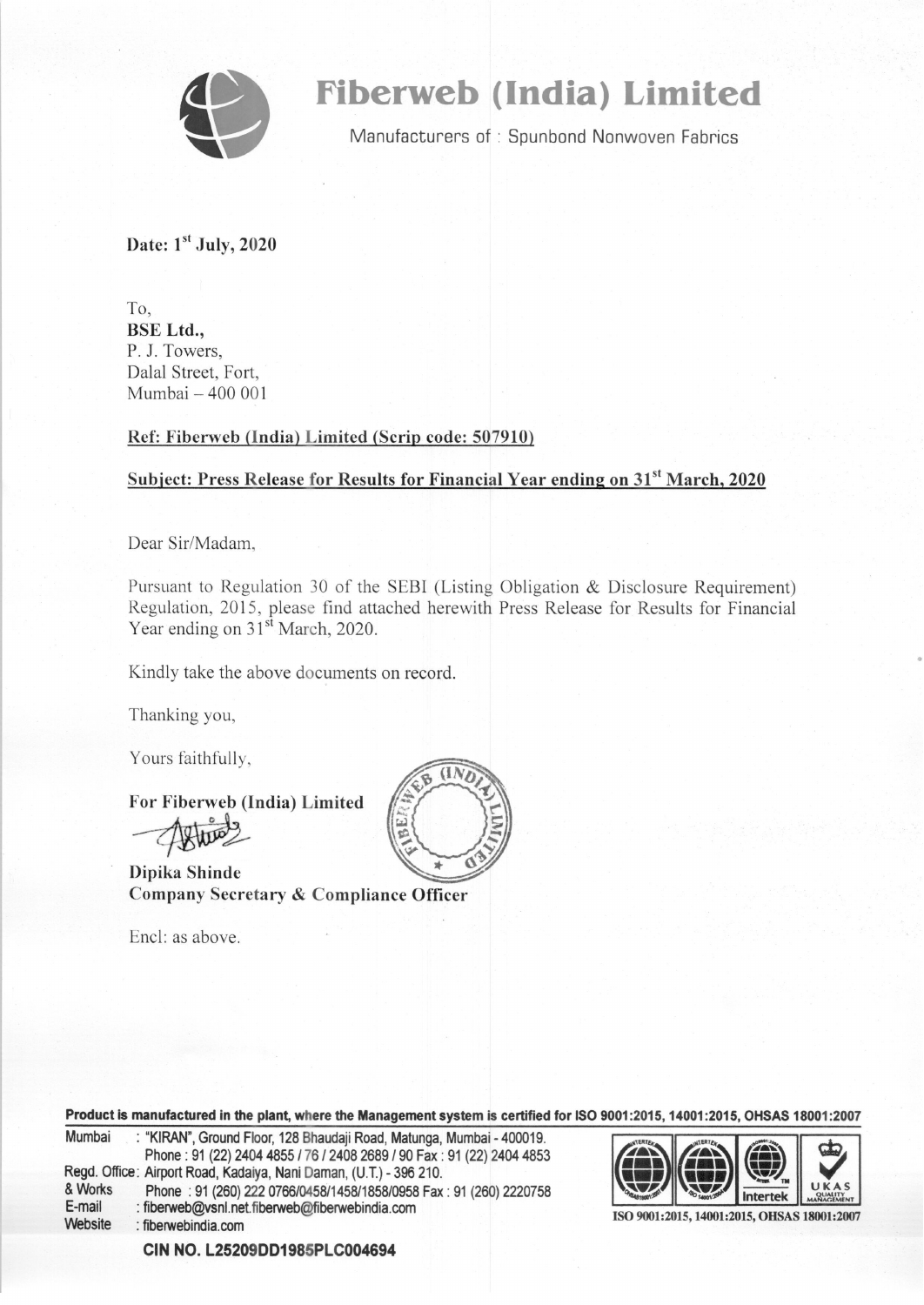

# **Fiberweb (India) Limited**

Manufacturers of : Spunbond Nonwoven Fabrics

Date: 1st July, 2020

To, BSE Ltd., P. J. Towers, Dalal Street, Fort, Mumbai - 400 001

### Ref: Fiberweb (India) Limited (Scrip code: 507910)

## Subject: Press Release for Results for Financial Year ending on 31<sup>st</sup> March, 2020

Dear Sir/Madam,

Pursuant to Regulation 30 of the SEBI (Listing Obligation & Disclosure Requirement) Regulation, 2015, please find attached herewith Press Release for Results for Financial Year ending on 31<sup>st</sup> March, 2020.

•

Kindly take the above documents on record.

Thanking you,

Yours faithfully,

For Fiberweb (India) Limited

Dipika Shinde Company Secretary & Compliance Officer

Encl: as above.



| Product is manufactured in the plant, where the Management system is certified for ISO 9001:2015, 14001:2015, OHSAS 18001:2007 |                                                                                                                                                |                                             |  |  |                                             |
|--------------------------------------------------------------------------------------------------------------------------------|------------------------------------------------------------------------------------------------------------------------------------------------|---------------------------------------------|--|--|---------------------------------------------|
| Mumbai                                                                                                                         | : "KIRAN", Ground Floor, 128 Bhaudaji Road, Matunga, Mumbai - 400019.<br>Phone: 91 (22) 2404 4855 / 76 / 2408 2689 / 90 Fax: 91 (22) 2404 4853 | $\bigodot$ $\bigodot$ $\bigodot$ $\bigodot$ |  |  |                                             |
|                                                                                                                                | Regd. Office: Airport Road, Kadaiya, Nani Daman, (U.T.) - 396 210.                                                                             |                                             |  |  |                                             |
| & Works                                                                                                                        | Phone: 91 (260) 222 0766/0458/1458/1858/0958 Fax: 91 (260) 2220758                                                                             |                                             |  |  | UKAS                                        |
| E-mail<br>Website                                                                                                              | : fiberweb@vsnl.net.fiberweb@fiberwebindia.com<br>: fiberwebindia.com                                                                          |                                             |  |  | ISO 9001:2015, 14001:2015, OHSAS 18001:2007 |

**CIN** NO. **L25209DD1985PLC004694**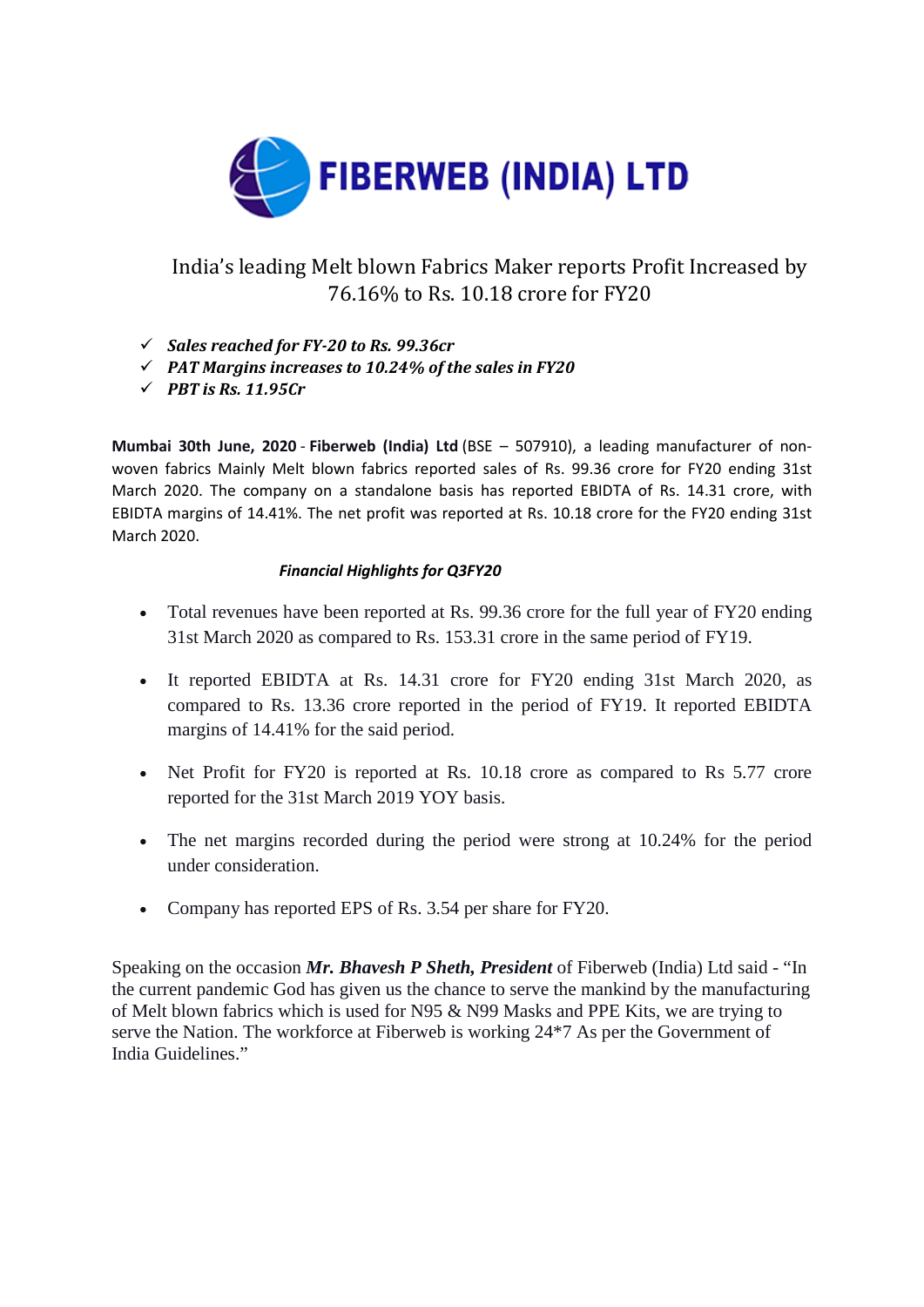

# India's leading Melt blown Fabrics Maker reports Profit Increased by 76.16% to Rs. 10.18 crore for FY20

- *Sales reached for FY-20 to Rs. 99.36cr*
- *PAT Margins increases to 10.24% of the sales in FY20*
- *PBT is Rs. 11.95Cr*

**Mumbai 30th June, 2020** - **Fiberweb (India) Ltd** (BSE – 507910), a leading manufacturer of nonwoven fabrics Mainly Melt blown fabrics reported sales of Rs. 99.36 crore for FY20 ending 31st March 2020. The company on a standalone basis has reported EBIDTA of Rs. 14.31 crore, with EBIDTA margins of 14.41%. The net profit was reported at Rs. 10.18 crore for the FY20 ending 31st March 2020.

### *Financial Highlights for Q3FY20*

- Total revenues have been reported at Rs. 99.36 crore for the full year of FY20 ending 31st March 2020 as compared to Rs. 153.31 crore in the same period of FY19.
- It reported EBIDTA at Rs. 14.31 crore for FY20 ending 31st March 2020, as compared to Rs. 13.36 crore reported in the period of FY19. It reported EBIDTA margins of 14.41% for the said period.
- Net Profit for FY20 is reported at Rs. 10.18 crore as compared to Rs 5.77 crore reported for the 31st March 2019 YOY basis.
- The net margins recorded during the period were strong at 10.24% for the period under consideration.
- Company has reported EPS of Rs. 3.54 per share for FY20.

Speaking on the occasion *Mr. Bhavesh P Sheth, President* of Fiberweb (India) Ltd said - "In the current pandemic God has given us the chance to serve the mankind by the manufacturing of Melt blown fabrics which is used for N95 & N99 Masks and PPE Kits, we are trying to serve the Nation. The workforce at Fiberweb is working 24\*7 As per the Government of India Guidelines."